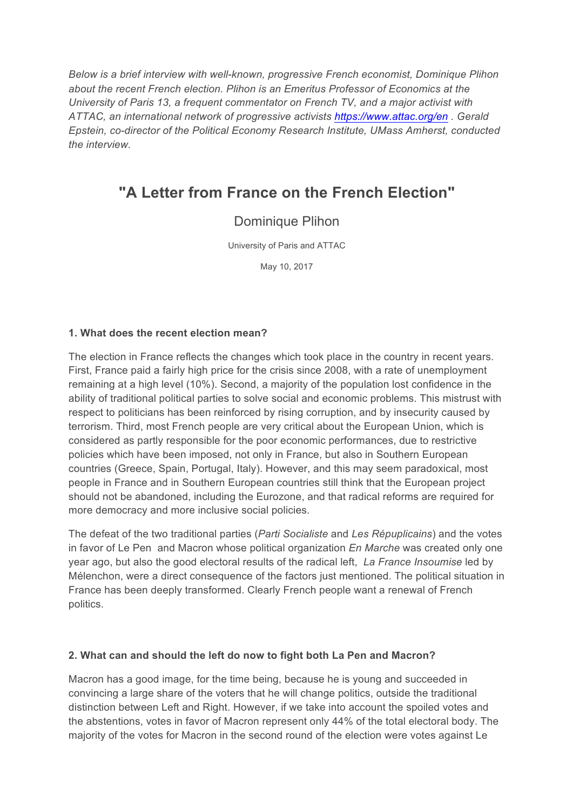*Below is a brief interview with well-known, progressive French economist, Dominique Plihon about the recent French election. Plihon is an Emeritus Professor of Economics at the University of Paris 13, a frequent commentator on French TV, and a major activist with ATTAC, an international network of progressive activists<https://www.attac.org/en> . Gerald Epstein, co-director of the Political Economy Research Institute, UMass Amherst, conducted the interview.*

# **"A Letter from France on the French Election"**

# Dominique Plihon

University of Paris and ATTAC

May 10, 2017

#### **1. What does the recent election mean?**

The election in France reflects the changes which took place in the country in recent years. First, France paid a fairly high price for the crisis since 2008, with a rate of unemployment remaining at a high level (10%). Second, a majority of the population lost confidence in the ability of traditional political parties to solve social and economic problems. This mistrust with respect to politicians has been reinforced by rising corruption, and by insecurity caused by terrorism. Third, most French people are very critical about the European Union, which is considered as partly responsible for the poor economic performances, due to restrictive policies which have been imposed, not only in France, but also in Southern European countries (Greece, Spain, Portugal, Italy). However, and this may seem paradoxical, most people in France and in Southern European countries still think that the European project should not be abandoned, including the Eurozone, and that radical reforms are required for more democracy and more inclusive social policies.

The defeat of the two traditional parties (*Parti Socialiste* and *Les Répuplicains*) and the votes in favor of Le Pen and Macron whose political organization *En Marche* was created only one year ago, but also the good electoral results of the radical left, *La France Insoumise* led by Mélenchon, were a direct consequence of the factors just mentioned. The political situation in France has been deeply transformed. Clearly French people want a renewal of French politics.

#### **2. What can and should the left do now to fight both La Pen and Macron?**

Macron has a good image, for the time being, because he is young and succeeded in convincing a large share of the voters that he will change politics, outside the traditional distinction between Left and Right. However, if we take into account the spoiled votes and the abstentions, votes in favor of Macron represent only 44% of the total electoral body. The majority of the votes for Macron in the second round of the election were votes against Le